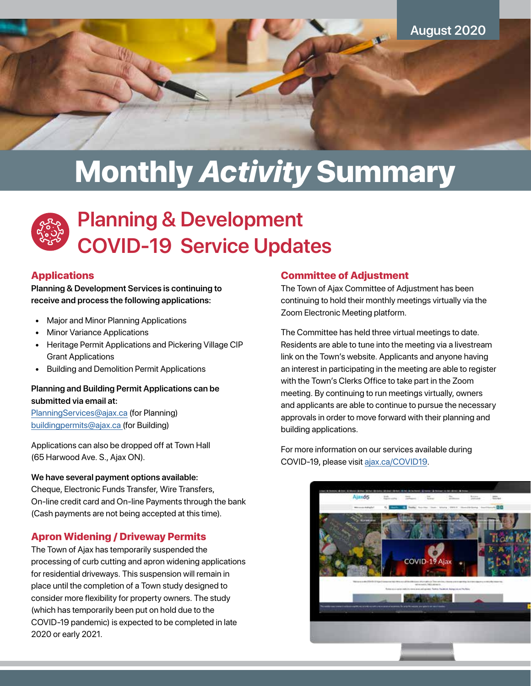

# Monthly *Activity* Summary



# **Planning & Development COVID-19 Service Updates**

## **Applications**

**Planning & Development Services is continuing to receive and process the following applications:**

- Major and Minor Planning Applications
- **Minor Variance Applications**
- Heritage Permit Applications and Pickering Village CIP Grant Applications
- Building and Demolition Permit Applications

## **Planning and Building Permit Applications can be submitted via email at:**

[PlanningServices@ajax.ca](mailto:PlanningServices%40ajax.ca?subject=) (for Planning) [buildingpermits@ajax.ca](mailto:buildingpermits%40ajax.ca?subject=) [\(](mailto:bpapp%40ajax.ca%20?subject=)for Building)

Applications can also be dropped off at Town Hall (65 Harwood Ave. S., Ajax ON).

#### **We have several payment options available:**

Cheque, Electronic Funds Transfer, Wire Transfers, On-line credit card and On-line Payments through the bank (Cash payments are not being accepted at this time).

# Apron Widening / Driveway Permits

The Town of Ajax has temporarily suspended the processing of curb cutting and apron widening applications for residential driveways. This suspension will remain in place until the completion of a Town study designed to consider more flexibility for property owners. The study (which has temporarily been put on hold due to the COVID-19 pandemic) is expected to be completed in late 2020 or early 2021.

## Committee of Adjustment

The Town of Ajax Committee of Adjustment has been continuing to hold their monthly meetings virtually via the Zoom Electronic Meeting platform.

The Committee has held three virtual meetings to date. Residents are able to tune into the meeting via a livestream link on the Town's website. Applicants and anyone having an interest in participating in the meeting are able to register with the Town's Clerks Office to take part in the Zoom meeting. By continuing to run meetings virtually, owners and applicants are able to continue to pursue the necessary approvals in order to move forward with their planning and building applications.

For more information on our services available during COVID-19, please visit [ajax.ca/COVID19.](https://ajax.ca/COVID19)

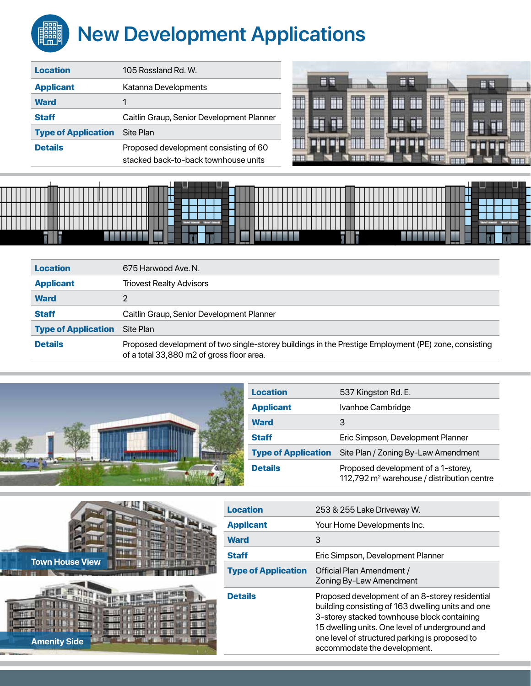# **New Development Applications ENGINE**

| <b>Location</b>            | 105 Rossland Rd. W.                                                           |  |
|----------------------------|-------------------------------------------------------------------------------|--|
| <b>Applicant</b>           | Katanna Developments                                                          |  |
| <b>Ward</b>                | 1                                                                             |  |
| <b>Staff</b>               | Caitlin Graup, Senior Development Planner                                     |  |
| <b>Type of Application</b> | Site Plan                                                                     |  |
| <b>Details</b>             | Proposed development consisting of 60<br>stacked back-to-back townhouse units |  |





| <b>Location</b>            | 675 Harwood Ave. N.                                                                                                                               |  |
|----------------------------|---------------------------------------------------------------------------------------------------------------------------------------------------|--|
| <b>Applicant</b>           | <b>Triovest Realty Advisors</b>                                                                                                                   |  |
| <b>Ward</b>                |                                                                                                                                                   |  |
| <b>Staff</b>               | Caitlin Graup, Senior Development Planner                                                                                                         |  |
| <b>Type of Application</b> | Site Plan                                                                                                                                         |  |
| <b>Details</b>             | Proposed development of two single-storey buildings in the Prestige Employment (PE) zone, consisting<br>of a total 33,880 m2 of gross floor area. |  |



| <b>Location</b>            | 537 Kingston Rd. E.                                                                           |  |
|----------------------------|-----------------------------------------------------------------------------------------------|--|
| <b>Applicant</b>           | Ivanhoe Cambridge                                                                             |  |
| <b>Ward</b>                | З                                                                                             |  |
| <b>Staff</b>               | Eric Simpson, Development Planner                                                             |  |
| <b>Type of Application</b> | Site Plan / Zoning By-Law Amendment                                                           |  |
| <b>Details</b>             | Proposed development of a 1-storey,<br>112,792 m <sup>2</sup> warehouse / distribution centre |  |



| <b>Amenity Side</b> |  |  |
|---------------------|--|--|
|                     |  |  |

| <b>Location</b>            | 253 & 255 Lake Driveway W.                                                                                                                                                                                                                                                               |
|----------------------------|------------------------------------------------------------------------------------------------------------------------------------------------------------------------------------------------------------------------------------------------------------------------------------------|
| <b>Applicant</b>           | Your Home Developments Inc.                                                                                                                                                                                                                                                              |
| <b>Ward</b>                | 3                                                                                                                                                                                                                                                                                        |
| <b>Staff</b>               | Eric Simpson, Development Planner                                                                                                                                                                                                                                                        |
| <b>Type of Application</b> | Official Plan Amendment /<br>Zoning By-Law Amendment                                                                                                                                                                                                                                     |
| <b>Details</b>             | Proposed development of an 8-storey residential<br>building consisting of 163 dwelling units and one<br>3-storey stacked townhouse block containing<br>15 dwelling units. One level of underground and<br>one level of structured parking is proposed to<br>accommodate the development. |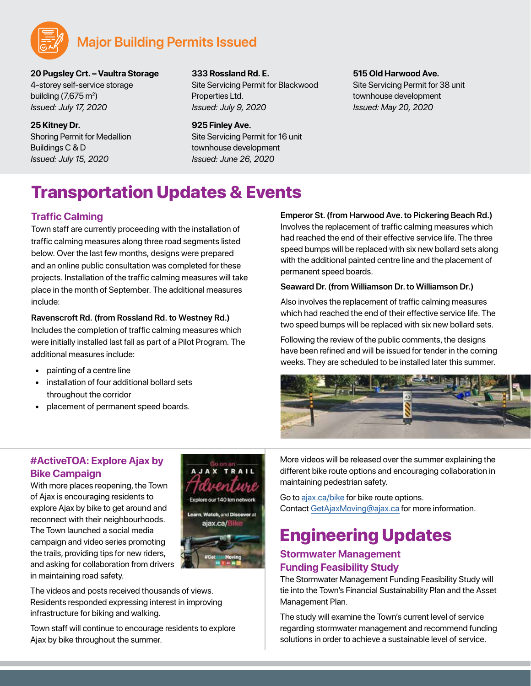

# **Major Building Permits Issued**

**20 Pugsley Crt. – Vaultra Storage** 4-storey self-service storage building (7,675 m<sup>2</sup>) *Issued: July 17, 2020*

**25 Kitney Dr.** Shoring Permit for Medallion Buildings C & D *Issued: July 15, 2020*

**333 Rossland Rd. E.**

**925 Finley Ave.**

Site Servicing Permit for Blackwood Properties Ltd. *Issued: July 9, 2020*

Site Servicing Permit for 16 unit townhouse development *Issued: June 26, 2020*

**515 Old Harwood Ave.**

Site Servicing Permit for 38 unit townhouse development *Issued: May 20, 2020*

# Transportation Updates & Events

# **Traffic Calming**

Town staff are currently proceeding with the installation of traffic calming measures along three road segments listed below. Over the last few months, designs were prepared and an online public consultation was completed for these projects. Installation of the traffic calming measures will take place in the month of September. The additional measures include:

#### **Ravenscroft Rd. (from Rossland Rd. to Westney Rd.)**

Includes the completion of traffic calming measures which were initially installed last fall as part of a Pilot Program. The additional measures include:

- painting of a centre line
- installation of four additional bollard sets throughout the corridor
- placement of permanent speed boards.

#### **Emperor St. (from Harwood Ave. to Pickering Beach Rd.)**

Involves the replacement of traffic calming measures which had reached the end of their effective service life. The three speed bumps will be replaced with six new bollard sets along with the additional painted centre line and the placement of permanent speed boards.

#### **Seaward Dr. (from Williamson Dr. to Williamson Dr.)**

Also involves the replacement of traffic calming measures which had reached the end of their effective service life. The two speed bumps will be replaced with six new bollard sets.

Following the review of the public comments, the designs have been refined and will be issued for tender in the coming weeks. They are scheduled to be installed later this summer.



# **#ActiveTOA: Explore Ajax by Bike Campaign**

With more places reopening, the Town of Ajax is encouraging residents to explore Ajax by bike to get around and reconnect with their neighbourhoods. The Town launched a social media campaign and video series promoting the trails, providing tips for new riders, and asking for collaboration from drivers in maintaining road safety.



The videos and posts received thousands of views. Residents responded expressing interest in improving infrastructure for biking and walking.

Town staff will continue to encourage residents to explore Ajax by bike throughout the summer.

More videos will be released over the summer explaining the different bike route options and encouraging collaboration in maintaining pedestrian safety.

Go to [ajax.ca/bike](https://ajax.ca/bike) for bike route options. Contact [GetAjaxMoving@ajax.ca](mailto:GetAjaxMoving%40ajax.ca?subject=) for more information.

# Engineering Updates

# **Stormwater Management Funding Feasibility Study**

The Stormwater Management Funding Feasibility Study will tie into the Town's Financial Sustainability Plan and the Asset Management Plan.

The study will examine the Town's current level of service regarding stormwater management and recommend funding solutions in order to achieve a sustainable level of service.